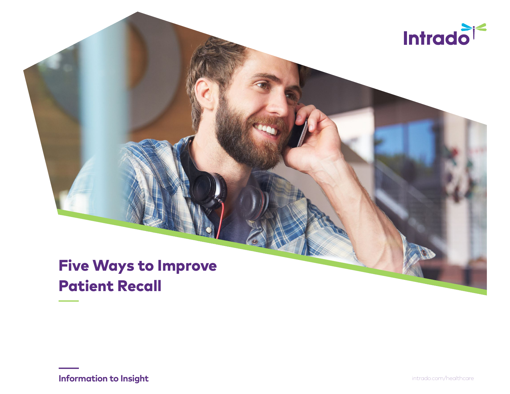

# Five Ways to Improve Patient Recall

**Information to Insight** intrado.com/healthcare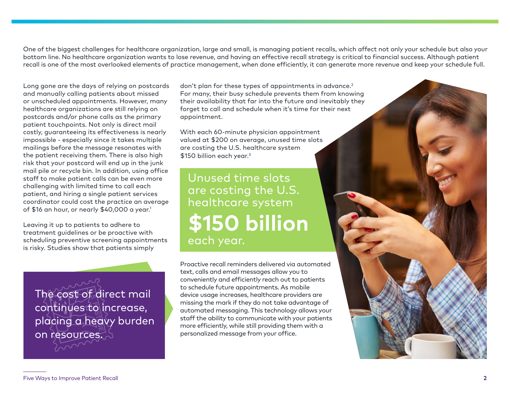One of the biggest challenges for healthcare organization, large and small, is managing patient recalls, which affect not only your schedule but also your bottom line. No healthcare organization wants to lose revenue, and having an effective recall strategy is critical to financial success. Although patient recall is one of the most overlooked elements of practice management, when done efficiently, it can generate more revenue and keep your schedule full.

Long gone are the days of relying on postcards and manually calling patients about missed or unscheduled appointments. However, many healthcare organizations are still relying on postcards and/or phone calls as the primary patient touchpoints. Not only is direct mail costly, guaranteeing its effectiveness is nearly impossible - especially since it takes multiple mailings before the message resonates with the patient receiving them. There is also high risk that your postcard will end up in the junk mail pile or recycle bin. In addition, using office staff to make patient calls can be even more challenging with limited time to call each patient, and hiring a single patient services coordinator could cost the practice an average of \$16 an hour, or nearly  $$40,000$  a year.<sup>1</sup>

Leaving it up to patients to adhere to treatment guidelines or be proactive with scheduling preventive screening appointments is risky. Studies show that patients simply

The cost of direct mail continues to increase, placing a heavy burden on resources.

don't plan for these types of appointments in advance.<sup>2</sup> For many, their busy schedule prevents them from knowing their availability that far into the future and inevitably they forget to call and schedule when it's time for their next appointment.

With each 60-minute physician appointment valued at \$200 on average, unused time slots are costing the U.S. healthcare system \$150 billion each year.<sup>3</sup>

Unused time slots are costing the U.S. healthcare system **\$150 billion** each year.

Proactive recall reminders delivered via automated text, calls and email messages allow you to conveniently and efficiently reach out to patients to schedule future appointments. As mobile device usage increases, healthcare providers are missing the mark if they do not take advantage of automated messaging. This technology allows your staff the ability to communicate with your patients more efficiently, while still providing them with a personalized message from your office.

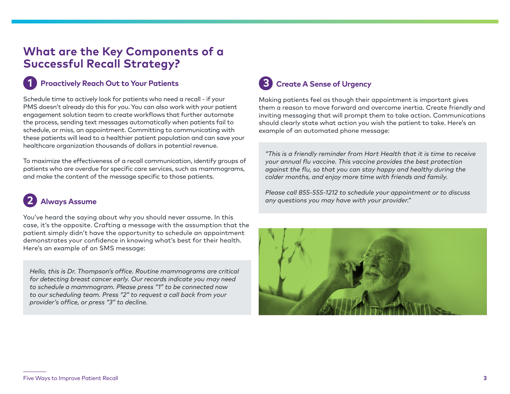### **What are the Key Components of a Successful Recall Strategy?**

#### **Proactively Reach Out to Your Patients 1**

Schedule time to actively look for patients who need a recall - if your PMS doesn't already do this for you. You can also work with your patient engagement solution team to create workflows that further automate the process, sending text messages automatically when patients fail to schedule, or miss, an appointment. Committing to communicating with these patients will lead to a healthier patient population and can save your healthcare organization thousands of dollars in potential revenue.

To maximize the effectiveness of a recall communication, identify groups of patients who are overdue for specific care services, such as mammograms, and make the content of the message specific to those patients.

### **Always Assume 2**

You've heard the saying about why you should never assume. In this case, it's the opposite. Crafting a message with the assumption that the patient simply didn't have the opportunity to schedule an appointment demonstrates your confidence in knowing what's best for their health. Here's an example of an SMS message:

*Hello, this is Dr. Thompson's office. Routine mammograms are critical for detecting breast cancer early. Our records indicate you may need to schedule a mammogram. Please press "1" to be connected now to our scheduling team. Press "2" to request a call back from your provider's office, or press "3" to decline.*

### **Create A Sense of Urgency 3**

Making patients feel as though their appointment is important gives them a reason to move forward and overcome inertia. Create friendly and inviting messaging that will prompt them to take action. Communications should clearly state what action you wish the patient to take. Here's an example of an automated phone message:

*"This is a friendly reminder from Hart Health that it is time to receive your annual flu vaccine. This vaccine provides the best protection against the flu, so that you can stay happy and healthy during the colder months, and enjoy more time with friends and family.*

*Please call 855-555-1212 to schedule your appointment or to discuss any questions you may have with your provider."*

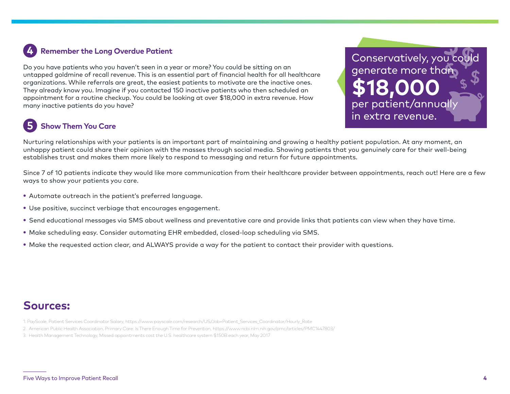#### **Remember the Long Overdue Patient 4**

Do you have patients who you haven't seen in a year or more? You could be sitting on an untapped goldmine of recall revenue. This is an essential part of financial health for all healthcare organizations. While referrals are great, the easiest patients to motivate are the inactive ones. They already know you. Imagine if you contacted 150 inactive patients who then scheduled an appointment for a routine checkup. You could be looking at over \$18,000 in extra revenue. How many inactive patients do you have?

### **Show Them You Care 5**

Conservatively, you could generate more than **\$18,000**  per patient/annually in extra revenue.

Nurturing relationships with your patients is an important part of maintaining and growing a healthy patient population. At any moment, an unhappy patient could share their opinion with the masses through social media. Showing patients that you genuinely care for their well-being establishes trust and makes them more likely to respond to messaging and return for future appointments.

Since 7 of 10 patients indicate they would like more communication from their healthcare provider between appointments, reach out! Here are a few ways to show your patients you care.

- Automate outreach in the patient's preferred language.
- Use positive, succinct verbiage that encourages engagement.
- Send educational messages via SMS about wellness and preventative care and provide links that patients can view when they have time.
- Make scheduling easy. Consider automating EHR embedded, closed-loop scheduling via SMS.
- Make the requested action clear, and ALWAYS provide a way for the patient to contact their provider with questions.

## **Sources:**

- 1. PayScale, Patient Services Coordinator Salary, https://www.payscale.com/research/US/Job=Patient\_Services\_Coordinator/Hourly\_Rate
- 2. American Public Health Association, Primary Care: Is There Enough Time for Prevention, https://www.ncbi.nlm.nih.gov/pmc/articles/PMC1447803/
- 3. Health Management Technology, Missed appointments cost the U.S. healthcare system \$150B each year, May 2017